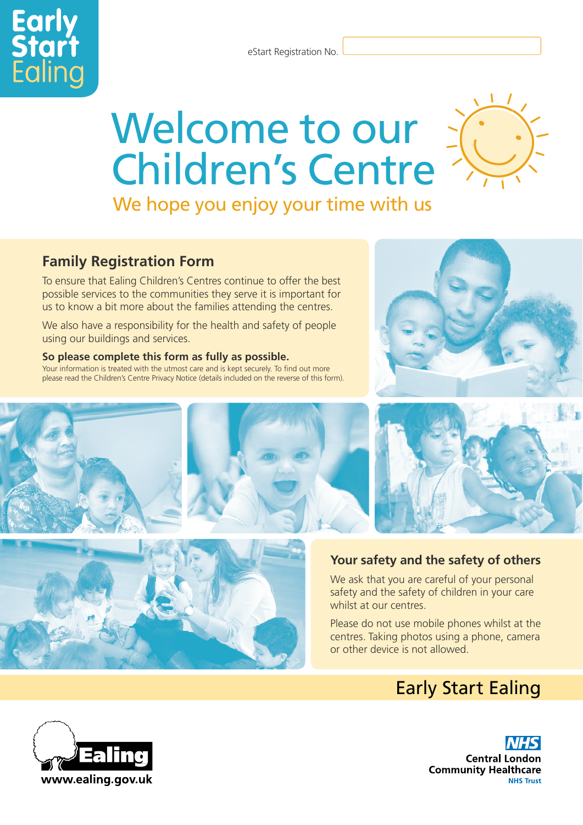eStart Registration No.

# Welcome to our Children's Centre

We hope you enjoy your time with us

### **Family Registration Form**

**Early**<br>**Start** 

To ensure that Ealing Children's Centres continue to offer the best possible services to the communities they serve it is important for us to know a bit more about the families attending the centres.

We also have a responsibility for the health and safety of people using our buildings and services.

#### **So please complete this form as fully as possible.**

Your information is treated with the utmost care and is kept securely. To find out more please read the Children's Centre Privacy Notice (details included on the reverse of this form).







#### **Your safety and the safety of others**

We ask that you are careful of your personal safety and the safety of children in your care whilst at our centres.

Please do not use mobile phones whilst at the centres. Taking photos using a phone, camera or other device is not allowed.

## Early Start Ealing

**Central London Community Healthcare NHS Trust** 

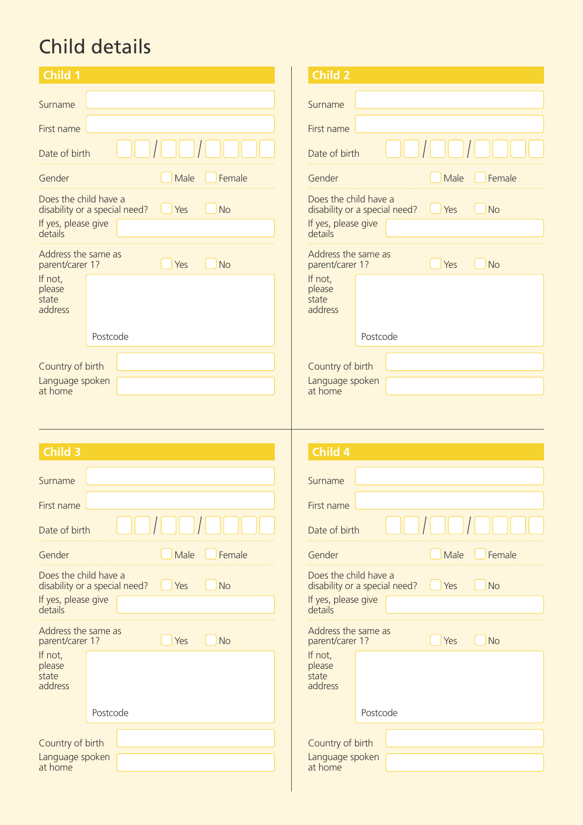# Child details

|                                                                                                                                              | Child 2                                                                                                                |
|----------------------------------------------------------------------------------------------------------------------------------------------|------------------------------------------------------------------------------------------------------------------------|
| Surname                                                                                                                                      | Surname                                                                                                                |
| First name                                                                                                                                   | First name                                                                                                             |
| Date of birth                                                                                                                                | Date of birth                                                                                                          |
| Male<br>Female<br>Gender                                                                                                                     | Male<br>Female<br>Gender                                                                                               |
| Does the child have a<br><b>No</b><br>disability or a special need?<br>Yes<br>If yes, please give<br>details                                 | Does the child have a<br><b>No</b><br>disability or a special need?<br>$\bigcup$ Yes<br>If yes, please give<br>details |
| Address the same as<br>Yes<br><b>No</b><br>parent/carer 1?<br>If not,                                                                        | Address the same as<br>Yes<br><b>No</b><br>parent/carer 1?<br>If not,                                                  |
| please<br>state<br>address                                                                                                                   | please<br>state<br>address                                                                                             |
| Postcode                                                                                                                                     | Postcode                                                                                                               |
| Country of birth                                                                                                                             | Country of birth                                                                                                       |
| Language spoken<br>at home                                                                                                                   | Language spoken<br>at home                                                                                             |
|                                                                                                                                              |                                                                                                                        |
|                                                                                                                                              |                                                                                                                        |
| <b>Child 3</b>                                                                                                                               | Child 4                                                                                                                |
|                                                                                                                                              |                                                                                                                        |
|                                                                                                                                              | Surname                                                                                                                |
|                                                                                                                                              |                                                                                                                        |
|                                                                                                                                              | First name<br>Date of birth                                                                                            |
| Male<br>Female                                                                                                                               | Gender<br>Female<br>Male                                                                                               |
| Yes<br><b>No</b>                                                                                                                             | Does the child have a<br>Yes<br><b>No</b><br>disability or a special need?                                             |
| Surname<br>First name<br>Date of birth<br>Gender<br>Does the child have a<br>disability or a special need?<br>If yes, please give<br>details | If yes, please give<br>details                                                                                         |
| Address the same as<br>Yes<br><b>No</b><br>parent/carer 1?                                                                                   | Address the same as<br><b>No</b><br>Yes<br>parent/carer 1?                                                             |
| If not,<br>please<br>state<br>address                                                                                                        | If not,<br>please<br>state<br>address                                                                                  |
| Postcode                                                                                                                                     | Postcode                                                                                                               |
| Country of birth                                                                                                                             | Country of birth                                                                                                       |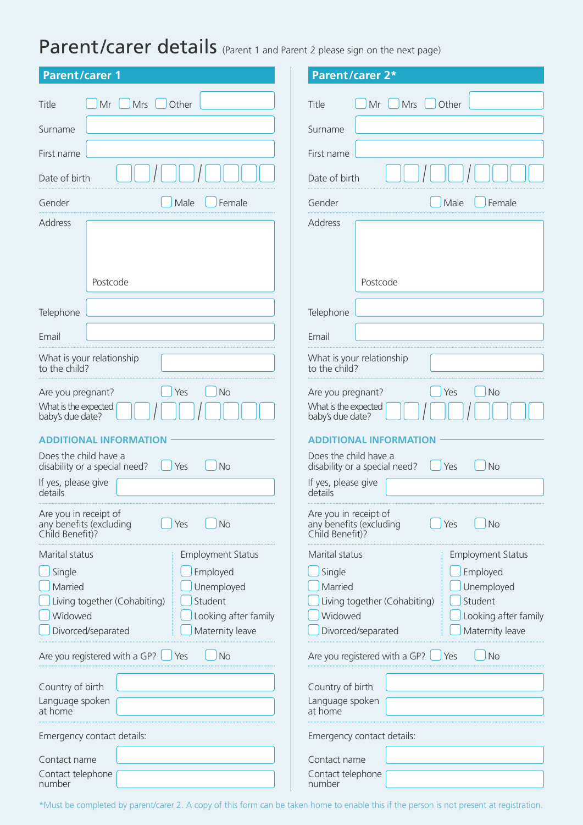## Parent/carer details (Parent 1 and Parent 2 please sign on the next page)

| <b>Parent/carer 1</b>         | <b>Parent/carer 2*</b>        |  |  |  |  |
|-------------------------------|-------------------------------|--|--|--|--|
| Title                         | Title                         |  |  |  |  |
| Mrs                           | Mrs                           |  |  |  |  |
| Other                         | Other                         |  |  |  |  |
| Mr                            | Mr                            |  |  |  |  |
| Surname                       | Surname                       |  |  |  |  |
| First name                    | First name                    |  |  |  |  |
| Date of birth                 | Date of birth                 |  |  |  |  |
| Gender                        | Gender                        |  |  |  |  |
| Male                          | Female                        |  |  |  |  |
| Female                        | Male                          |  |  |  |  |
| Address                       | Address                       |  |  |  |  |
| Postcode                      | Postcode                      |  |  |  |  |
| Telephone                     | Telephone                     |  |  |  |  |
| Email                         | Email                         |  |  |  |  |
| What is your relationship     | What is your relationship     |  |  |  |  |
| to the child?                 | to the child?                 |  |  |  |  |
| Are you pregnant?             | Are you pregnant?             |  |  |  |  |
| <b>No</b>                     | Yes                           |  |  |  |  |
| Yes                           | <b>No</b>                     |  |  |  |  |
| What is the expected          | What is the expected          |  |  |  |  |
| baby's due date?              | baby's due date?              |  |  |  |  |
| <b>ADDITIONAL INFORMATION</b> | <b>ADDITIONAL INFORMATION</b> |  |  |  |  |
| Does the child have a         | Does the child have a         |  |  |  |  |
| disability or a special need? | <b>No</b>                     |  |  |  |  |
| <b>No</b>                     | disability or a special need? |  |  |  |  |
| Yes                           | Yes                           |  |  |  |  |
| If yes, please give           | If yes, please give           |  |  |  |  |
| details                       | details                       |  |  |  |  |
| Are you in receipt of         | Are you in receipt of         |  |  |  |  |
| any benefits (excluding       | any benefits (excluding       |  |  |  |  |
| No                            | <b>No</b>                     |  |  |  |  |
| Yes                           | Yes                           |  |  |  |  |
| Child Benefit)?               | Child Benefit)?               |  |  |  |  |
| Marital status                | Marital status                |  |  |  |  |
| <b>Employment Status</b>      | <b>Employment Status</b>      |  |  |  |  |
| Single                        | Single                        |  |  |  |  |
| Employed                      | Employed                      |  |  |  |  |
| Unemployed                    | Married                       |  |  |  |  |
| Married                       | Unemployed                    |  |  |  |  |
| Student                       | Student                       |  |  |  |  |
| Living together (Cohabiting)  | Living together (Cohabiting)  |  |  |  |  |
| Widowed                       | Widowed                       |  |  |  |  |
| Looking after family          | Looking after family          |  |  |  |  |
| Maternity leave               | Maternity leave               |  |  |  |  |
| Divorced/separated            | Divorced/separated            |  |  |  |  |
| Are you registered with a GP? | Are you registered with a GP? |  |  |  |  |
| <b>No</b>                     | <b>No</b>                     |  |  |  |  |
| Yes                           | Yes                           |  |  |  |  |
| Country of birth              | Country of birth              |  |  |  |  |
| Language spoken               | Language spoken               |  |  |  |  |
| at home                       | at home                       |  |  |  |  |
| Emergency contact details:    | Emergency contact details:    |  |  |  |  |
| Contact name                  | Contact name                  |  |  |  |  |
| Contact telephone             | Contact telephone             |  |  |  |  |
| number                        | number                        |  |  |  |  |

\*Must be completed by parent/carer 2. A copy of this form can be taken home to enable this if the person is not present at registration.